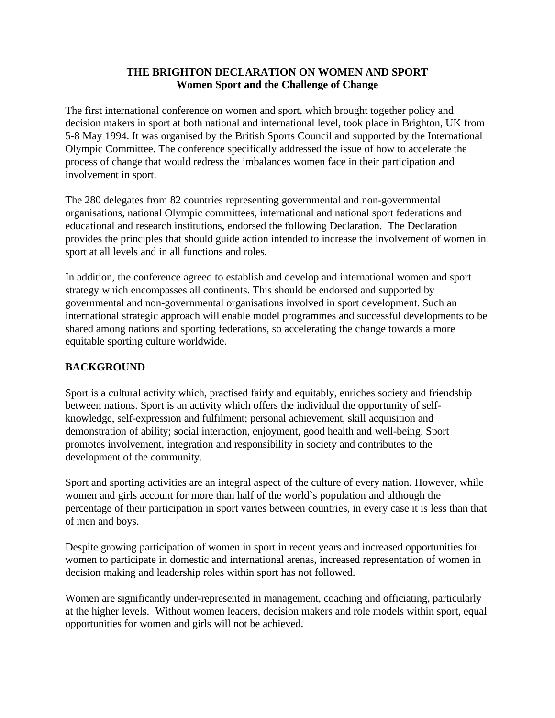## **THE BRIGHTON DECLARATION ON WOMEN AND SPORT Women Sport and the Challenge of Change**

The first international conference on women and sport, which brought together policy and decision makers in sport at both national and international level, took place in Brighton, UK from 5-8 May 1994. It was organised by the British Sports Council and supported by the International Olympic Committee. The conference specifically addressed the issue of how to accelerate the process of change that would redress the imbalances women face in their participation and involvement in sport.

The 280 delegates from 82 countries representing governmental and non-governmental organisations, national Olympic committees, international and national sport federations and educational and research institutions, endorsed the following Declaration. The Declaration provides the principles that should guide action intended to increase the involvement of women in sport at all levels and in all functions and roles.

In addition, the conference agreed to establish and develop and international women and sport strategy which encompasses all continents. This should be endorsed and supported by governmental and non-governmental organisations involved in sport development. Such an international strategic approach will enable model programmes and successful developments to be shared among nations and sporting federations, so accelerating the change towards a more equitable sporting culture worldwide.

# **BACKGROUND**

Sport is a cultural activity which, practised fairly and equitably, enriches society and friendship between nations. Sport is an activity which offers the individual the opportunity of selfknowledge, self-expression and fulfilment; personal achievement, skill acquisition and demonstration of ability; social interaction, enjoyment, good health and well-being. Sport promotes involvement, integration and responsibility in society and contributes to the development of the community.

Sport and sporting activities are an integral aspect of the culture of every nation. However, while women and girls account for more than half of the world`s population and although the percentage of their participation in sport varies between countries, in every case it is less than that of men and boys.

Despite growing participation of women in sport in recent years and increased opportunities for women to participate in domestic and international arenas, increased representation of women in decision making and leadership roles within sport has not followed.

Women are significantly under-represented in management, coaching and officiating, particularly at the higher levels. Without women leaders, decision makers and role models within sport, equal opportunities for women and girls will not be achieved.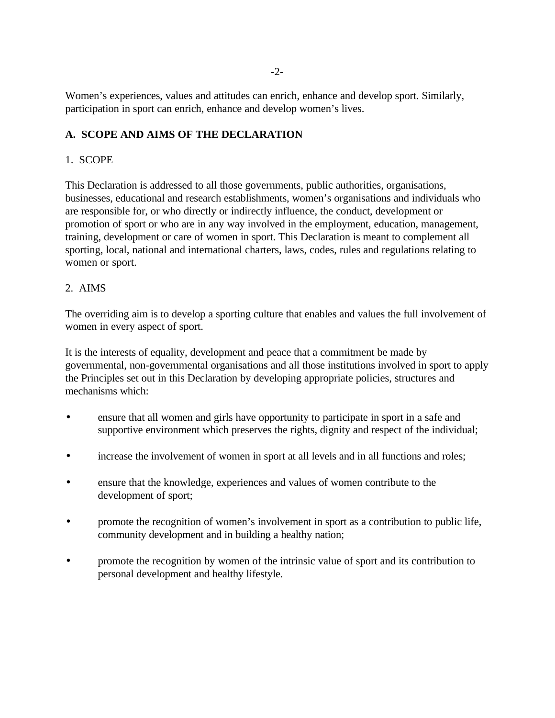Women's experiences, values and attitudes can enrich, enhance and develop sport. Similarly, participation in sport can enrich, enhance and develop women's lives.

# **A. SCOPE AND AIMS OF THE DECLARATION**

## 1. SCOPE

This Declaration is addressed to all those governments, public authorities, organisations, businesses, educational and research establishments, women's organisations and individuals who are responsible for, or who directly or indirectly influence, the conduct, development or promotion of sport or who are in any way involved in the employment, education, management, training, development or care of women in sport. This Declaration is meant to complement all sporting, local, national and international charters, laws, codes, rules and regulations relating to women or sport.

## 2. AIMS

The overriding aim is to develop a sporting culture that enables and values the full involvement of women in every aspect of sport.

It is the interests of equality, development and peace that a commitment be made by governmental, non-governmental organisations and all those institutions involved in sport to apply the Principles set out in this Declaration by developing appropriate policies, structures and mechanisms which:

- ensure that all women and girls have opportunity to participate in sport in a safe and supportive environment which preserves the rights, dignity and respect of the individual;
- increase the involvement of women in sport at all levels and in all functions and roles;
- ensure that the knowledge, experiences and values of women contribute to the development of sport;
- promote the recognition of women's involvement in sport as a contribution to public life, community development and in building a healthy nation;
- promote the recognition by women of the intrinsic value of sport and its contribution to personal development and healthy lifestyle.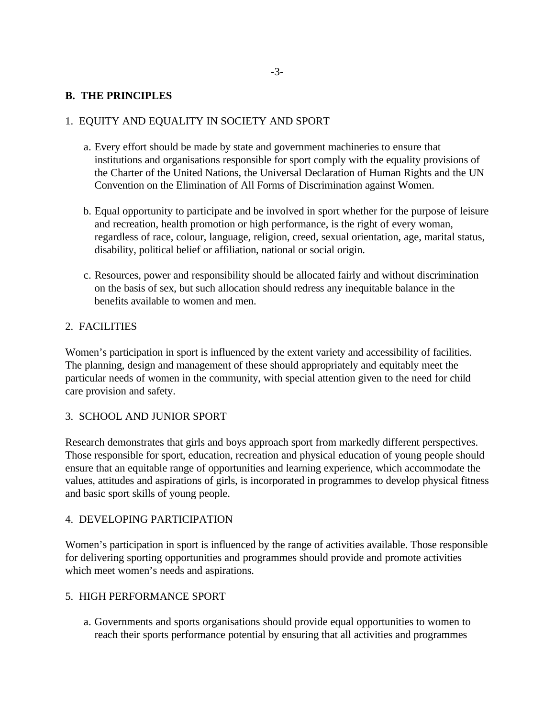### **B. THE PRINCIPLES**

## 1. EQUITY AND EQUALITY IN SOCIETY AND SPORT

- a. Every effort should be made by state and government machineries to ensure that institutions and organisations responsible for sport comply with the equality provisions of the Charter of the United Nations, the Universal Declaration of Human Rights and the UN Convention on the Elimination of All Forms of Discrimination against Women.
- b. Equal opportunity to participate and be involved in sport whether for the purpose of leisure and recreation, health promotion or high performance, is the right of every woman, regardless of race, colour, language, religion, creed, sexual orientation, age, marital status, disability, political belief or affiliation, national or social origin.
- c. Resources, power and responsibility should be allocated fairly and without discrimination on the basis of sex, but such allocation should redress any inequitable balance in the benefits available to women and men.

#### 2. FACILITIES

Women's participation in sport is influenced by the extent variety and accessibility of facilities. The planning, design and management of these should appropriately and equitably meet the particular needs of women in the community, with special attention given to the need for child care provision and safety.

#### 3. SCHOOL AND JUNIOR SPORT

Research demonstrates that girls and boys approach sport from markedly different perspectives. Those responsible for sport, education, recreation and physical education of young people should ensure that an equitable range of opportunities and learning experience, which accommodate the values, attitudes and aspirations of girls, is incorporated in programmes to develop physical fitness and basic sport skills of young people.

#### 4. DEVELOPING PARTICIPATION

Women's participation in sport is influenced by the range of activities available. Those responsible for delivering sporting opportunities and programmes should provide and promote activities which meet women's needs and aspirations.

#### 5. HIGH PERFORMANCE SPORT

a. Governments and sports organisations should provide equal opportunities to women to reach their sports performance potential by ensuring that all activities and programmes